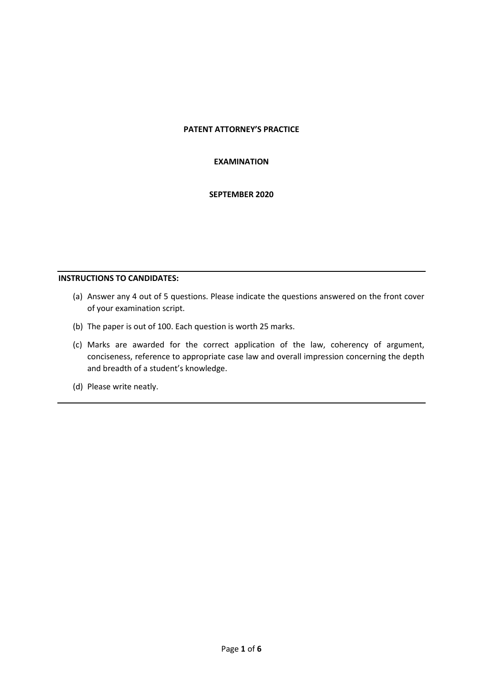### **PATENT ATTORNEY'S PRACTICE**

#### **EXAMINATION**

### **SEPTEMBER 2020**

#### **INSTRUCTIONS TO CANDIDATES:**

- (a) Answer any 4 out of 5 questions. Please indicate the questions answered on the front cover of your examination script.
- (b) The paper is out of 100. Each question is worth 25 marks.
- (c) Marks are awarded for the correct application of the law, coherency of argument, conciseness, reference to appropriate case law and overall impression concerning the depth and breadth of a student's knowledge.
- (d) Please write neatly.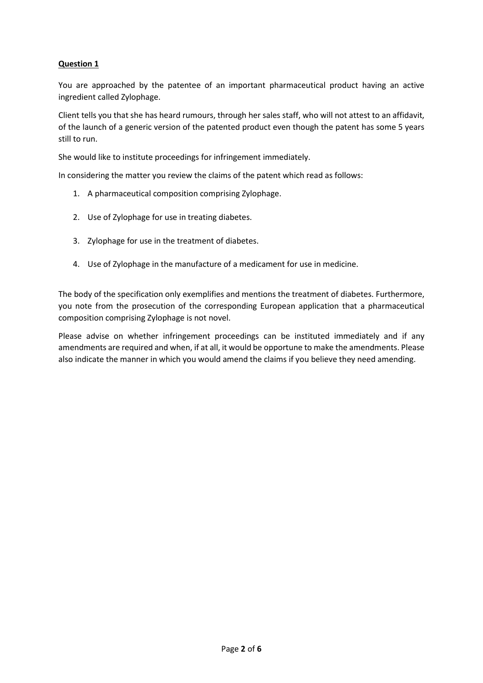You are approached by the patentee of an important pharmaceutical product having an active ingredient called Zylophage.

Client tells you that she has heard rumours, through her sales staff, who will not attest to an affidavit, of the launch of a generic version of the patented product even though the patent has some 5 years still to run.

She would like to institute proceedings for infringement immediately.

In considering the matter you review the claims of the patent which read as follows:

- 1. A pharmaceutical composition comprising Zylophage.
- 2. Use of Zylophage for use in treating diabetes.
- 3. Zylophage for use in the treatment of diabetes.
- 4. Use of Zylophage in the manufacture of a medicament for use in medicine.

The body of the specification only exemplifies and mentions the treatment of diabetes. Furthermore, you note from the prosecution of the corresponding European application that a pharmaceutical composition comprising Zylophage is not novel.

Please advise on whether infringement proceedings can be instituted immediately and if any amendments are required and when, if at all, it would be opportune to make the amendments. Please also indicate the manner in which you would amend the claims if you believe they need amending.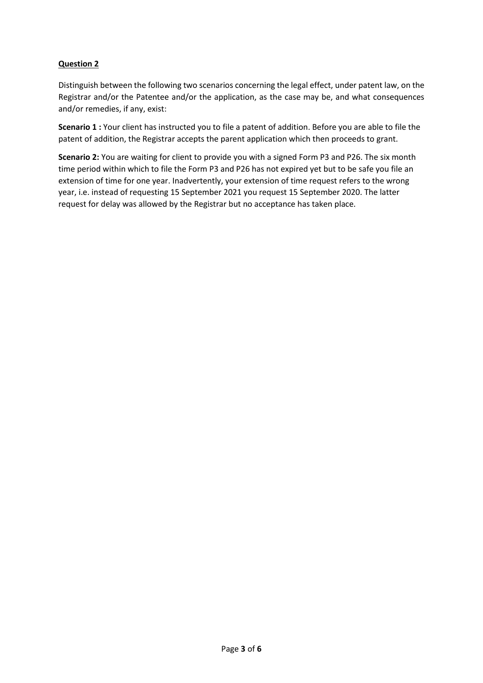Distinguish between the following two scenarios concerning the legal effect, under patent law, on the Registrar and/or the Patentee and/or the application, as the case may be, and what consequences and/or remedies, if any, exist:

**Scenario 1 :** Your client has instructed you to file a patent of addition. Before you are able to file the patent of addition, the Registrar accepts the parent application which then proceeds to grant.

**Scenario 2:** You are waiting for client to provide you with a signed Form P3 and P26. The six month time period within which to file the Form P3 and P26 has not expired yet but to be safe you file an extension of time for one year. Inadvertently, your extension of time request refers to the wrong year, i.e. instead of requesting 15 September 2021 you request 15 September 2020. The latter request for delay was allowed by the Registrar but no acceptance has taken place.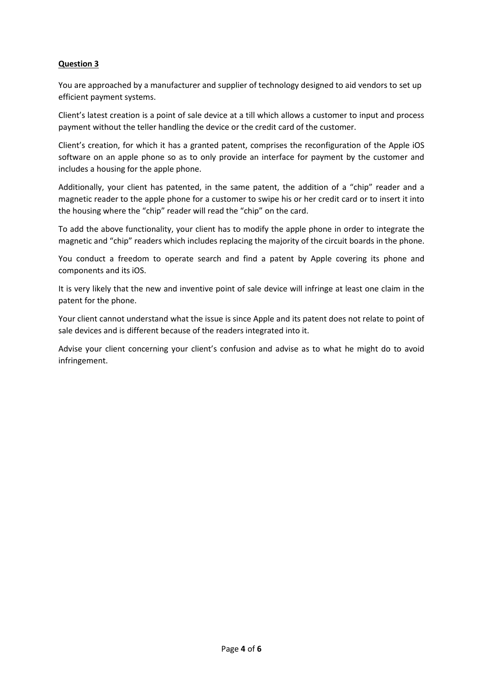You are approached by a manufacturer and supplier of technology designed to aid vendors to set up efficient payment systems.

Client's latest creation is a point of sale device at a till which allows a customer to input and process payment without the teller handling the device or the credit card of the customer.

Client's creation, for which it has a granted patent, comprises the reconfiguration of the Apple iOS software on an apple phone so as to only provide an interface for payment by the customer and includes a housing for the apple phone.

Additionally, your client has patented, in the same patent, the addition of a "chip" reader and a magnetic reader to the apple phone for a customer to swipe his or her credit card or to insert it into the housing where the "chip" reader will read the "chip" on the card.

To add the above functionality, your client has to modify the apple phone in order to integrate the magnetic and "chip" readers which includes replacing the majority of the circuit boards in the phone.

You conduct a freedom to operate search and find a patent by Apple covering its phone and components and its iOS.

It is very likely that the new and inventive point of sale device will infringe at least one claim in the patent for the phone.

Your client cannot understand what the issue is since Apple and its patent does not relate to point of sale devices and is different because of the readers integrated into it.

Advise your client concerning your client's confusion and advise as to what he might do to avoid infringement.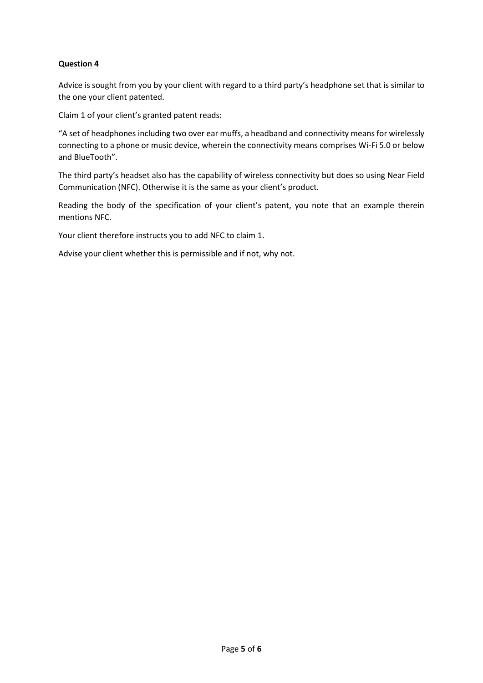Advice is sought from you by your client with regard to a third party's headphone set that is similar to the one your client patented.

Claim 1 of your client's granted patent reads:

"A set of headphones including two over ear muffs, a headband and connectivity means for wirelessly connecting to a phone or music device, wherein the connectivity means comprises Wi-Fi 5.0 or below and BlueTooth".

The third party's headset also has the capability of wireless connectivity but does so using Near Field Communication (NFC). Otherwise it is the same as your client's product.

Reading the body of the specification of your client's patent, you note that an example therein mentions NFC.

Your client therefore instructs you to add NFC to claim 1.

Advise your client whether this is permissible and if not, why not.